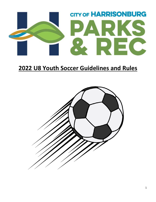

# **U8 Youth Soccer Guidelines and Rules**

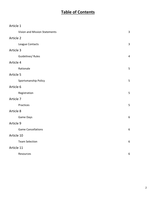### **Table of Contents**

| Article 1                     |                |
|-------------------------------|----------------|
| Vision and Mission Statements | 3              |
| Article 2                     |                |
| League Contacts               | 3              |
| Article 3                     |                |
| Guidelines/ Rules             | $\overline{4}$ |
| Article 4                     |                |
| Rationale                     | 5              |
| Article 5                     |                |
| Sportsmanship Policy          | 5              |
| Article 6                     |                |
| Registration                  | 5              |
| Article 7                     |                |
| Practices                     | 5              |
| Article 8                     |                |
| Game Days                     | 6              |
| Article 9                     |                |
| <b>Game Cancellations</b>     | 6              |
| Article 10                    |                |
| <b>Team Selection</b>         | 6              |
| Article 11                    |                |
| Resources                     | 6              |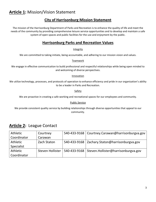### **Article 1:** Mission/Vision Statement

#### **City of Harrisonburg Mission Statement**

The mission of the Harrisonburg Department of Parks and Recreation is to enhance the quality of life and meet the needs of the community by providing comprehensive leisure service opportunities and to develop and maintain a safe system of open spaces and public facilities for the use and enjoyment by the public.

#### **Harrisonburg Parks and Recreation Values**

#### **Integrity**

We are committed to taking initiate, being accountable, and adhering to our mission vision and values.

#### Teamwork

We engage in effective communication to build professional and respectful relationships while being open minded to and welcoming of diverse perspectives.

#### Innovation

We utilize technology, processes, and protocols of operation to enhance efficiency and pride in our organization's ability to be a leader in Parks and Recreation.

Safety

We are proactive in creating a safe working and recreational spaces for our employees and community.

#### Public Service

We provide consistent quality service by building relationships through diverse opportunities that appeal to our community.

#### **Article 2:** League Contact

| Athletic    | Courtney         |              | 540-433-9168   Courtney.Carawan@harrisonburgva.gov |
|-------------|------------------|--------------|----------------------------------------------------|
| Coordinator | Carawan          |              |                                                    |
| Athletic    | Zach Staton      |              | 540-433-9168   Zachary.Staton@harrisonburgva.gov   |
| Specialist  |                  |              |                                                    |
| Athletic    | Steven Hollister | 540-433-9168 | Steven.Hollister@harrisonburgva.gov                |
| Coordinator |                  |              |                                                    |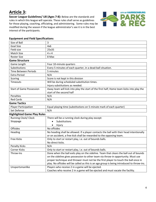## **Article 3:**

**Soccer League Guidelines/ U8 (Ages 7-8):** Below are the standards and rules in which this league will operate. These rules shall serve as guidelines for those playing, coaching, officiating, and administering. Some rules may be modified during the season if the league administrator's see it is in the best interest of the participants.



#### **Equipment and Field Specifications**

| Size of Ball                       | 3                                                                                          |  |  |
|------------------------------------|--------------------------------------------------------------------------------------------|--|--|
| <b>Goal Size</b>                   | 4x6                                                                                        |  |  |
| Field size                         | 25x35                                                                                      |  |  |
| Match Size                         | 4 v 4                                                                                      |  |  |
| <b>Roster Size</b>                 | 8 Max                                                                                      |  |  |
| <b>Game Structure</b>              |                                                                                            |  |  |
| Game Length                        | Four 10-minute quarters                                                                    |  |  |
| Substitutions                      | Every 5 minutes of each quarter, in a dead-ball situation.                                 |  |  |
| <b>Time Between Periods</b>        | 5 minutes                                                                                  |  |  |
| <b>Extra Period</b>                | N/A                                                                                        |  |  |
| Scoring                            | Score is not kept in this division                                                         |  |  |
| Timeouts                           | Will be during scheduled substitution times.                                               |  |  |
|                                    | Injury substitutions as needed.                                                            |  |  |
| <b>Start of Game Possession</b>    | Away team will kick into play the start of the first half; Home team kicks into play the   |  |  |
|                                    | start of the second half                                                                   |  |  |
| <b>Penalties</b>                   | N/A                                                                                        |  |  |
| <b>Red Cards</b>                   | N/A                                                                                        |  |  |
| <b>Game Tactics</b>                |                                                                                            |  |  |
| <b>Player Participation</b>        | Equal playing time (substitutions on 5-minute mark of each quarter)                        |  |  |
| Set Defense                        | N/A                                                                                        |  |  |
| <b>Highlighted Game Play Rules</b> |                                                                                            |  |  |
| <b>Running Clock/ Clock</b>        | There will be a running clock during play except:                                          |  |  |
| Stoppage                           | Substitutions<br>$\bullet$                                                                 |  |  |
|                                    | Injury                                                                                     |  |  |
| <b>Offsides</b>                    | No offsides                                                                                |  |  |
| Heading                            | No heading shall be allowed. If a player contacts the ball with their head intentionally   |  |  |
|                                    | or on accident, a free kick shall be rewarded to the opposing team.                        |  |  |
| <b>Free Kicks</b>                  | Only to start or restart play, i.e. out of bounds balls.                                   |  |  |
|                                    | No direct kicks.                                                                           |  |  |
| <b>Penalty Kicks</b>               | N/A                                                                                        |  |  |
| <b>Corner Kicks</b>                | Only to start or restart play, i.e. out of bounds balls.                                   |  |  |
| Throw-Ins                          | Done when the ball exits play on the sideline. Team that clears the ball out of bounds     |  |  |
|                                    | on the sideline gives possession to other team via throw-in opportunity. Must use          |  |  |
|                                    | proper technique and thrower must not be the first player to touch the ball once in        |  |  |
|                                    | play. No offsides will be called as this is an age group is being introduced to throw-ins. |  |  |
| Unsportsmanlike                    | Players who receive 2 in a game will be ejected.                                           |  |  |
|                                    | Coaches who receive 2 in a game will be ejected and must vacate the facility.              |  |  |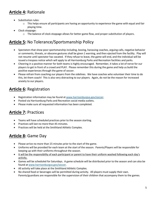### **Article 4:** Rationale

- Substitution rules:
	- $\circ$  This helps ensure all participants are having an opportunity to experience the game with equal and fair playing time.
- Clock stoppage:
	- $\circ$  The balance of clock stoppage allows for better game flow, and proper substitution of players.

## **Article 5:** No Tolerance/Sportsmanship Policy

- Spectators that show poor sportsmanship including, booing, harassing coaches, arguing calls, negative behavior or comments, threats, or obscene gestures shall be given 1 warning, and then ejected from the facility. Play will not resume until spectator has vacated. If they refuse to leave, the game will end, and the individual will be issued a trespass notice which will apply to all Harrisonburg Parks and Recreation facilities and parks.
- Cheering in a positive manner for both teams is highly encouraged. Remember, it takes a lot of nerve for our players to get in front of a crowd and PLAY. Please remember this during the game and help us build the positive experiences through the game of soccer.
- Please refrain from coaching our players from the sidelines. We have coaches who volunteer their time to do this, let them coach! This is also very distracting to our players. Again, do not be the reason for increased anxiety to our players.

## **Article 6:** Registration

- Registration information may be found at [www.harrisonburgva.gov/soccer.](http://www.harrisonburgva.gov/soccer)
- Posted via Harrisonburg Parks and Recreation social media outlets.
- Please make sure all requested information has been completed.

### **Article 7:** Practices

- Teams will have scheduled practices prior to the season starting.
- Practices will last no more than 45 minutes.
- Practices will be held at the Smithland Athletic Complex.

## **Article 8:** Game Day

- Please arrive no more than 15 minutes prior to the start of the game.
- Uniforms will be provided for each team at the start of the season. Parents/Players will be responsible for keeping up with their uniforms throughout the season.
- It will be the responsibility of each participant or parent to have their uniform washed following each day's activity.
- Games will be scheduled for Saturdays. A game schedule will be distributed prior to the season and can also be found a[t www.harrisonburgva.gov/soccer.](http://www.harrisonburgva.gov/soccer)
- All activity will take place at the Smithland Athletic Complex.
- No shared food or beverages will be permitted during activity. All players must supply their own. Parents/guardians are responsible for the supervision of their children that accompany them to the games.